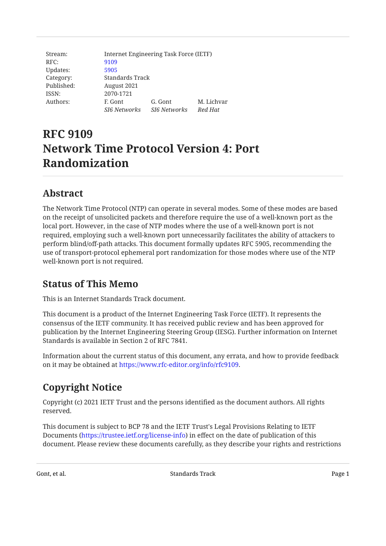| Stream:    | Internet Engineering Task Force (IETF) |                     |            |
|------------|----------------------------------------|---------------------|------------|
| RFC:       | 9109                                   |                     |            |
| Updates:   | 5905                                   |                     |            |
| Category:  | Standards Track                        |                     |            |
| Published: | August 2021                            |                     |            |
| ISSN:      | 2070-1721                              |                     |            |
| Authors:   | F. Gont                                | G. Gont             | M. Lichvar |
|            | <b>SI6 Networks</b>                    | <b>SI6 Networks</b> | Red Hat    |

# **RFC 9109 Network Time Protocol Version 4: Port Randomization**

# <span id="page-0-0"></span>**[Abstract](#page-0-0)**

The Network Time Protocol (NTP) can operate in several modes. Some of these modes are based on the receipt of unsolicited packets and therefore require the use of a well-known port as the local port. However, in the case of NTP modes where the use of a well-known port is not required, employing such a well-known port unnecessarily facilitates the ability of attackers to perform blind/off-path attacks. This document formally updates RFC 5905, recommending the use of transport-protocol ephemeral port randomization for those modes where use of the NTP well-known port is not required.

### <span id="page-0-1"></span>**[Status of This Memo](#page-0-1)**

This is an Internet Standards Track document.

This document is a product of the Internet Engineering Task Force (IETF). It represents the consensus of the IETF community. It has received public review and has been approved for publication by the Internet Engineering Steering Group (IESG). Further information on Internet Standards is available in Section 2 of RFC 7841.

Information about the current status of this document, any errata, and how to provide feedback on it may be obtained at <https://www.rfc-editor.org/info/rfc9109>.

# <span id="page-0-2"></span>**[Copyright Notice](#page-0-2)**

Copyright (c) 2021 IETF Trust and the persons identified as the document authors. All rights reserved.

This document is subject to BCP 78 and the IETF Trust's Legal Provisions Relating to IETF Documents (<https://trustee.ietf.org/license-info>) in effect on the date of publication of this document. Please review these documents carefully, as they describe your rights and restrictions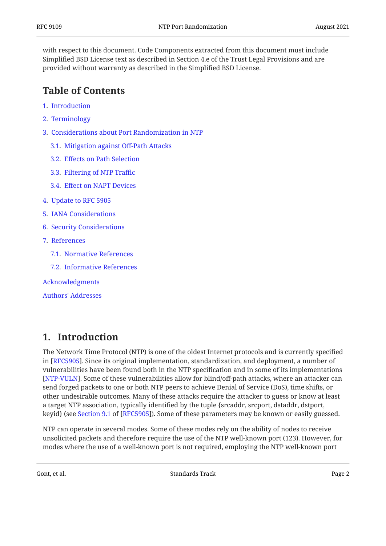with respect to this document. Code Components extracted from this document must include Simplified BSD License text as described in Section 4.e of the Trust Legal Provisions and are provided without warranty as described in the Simplified BSD License.

#### <span id="page-1-0"></span>**[Table of Contents](#page-1-0)**

- [1.](#page-1-1) [Introduction](#page-1-1)
- [2.](#page-2-0) [Terminology](#page-2-0)
- [3.](#page-2-1) [Considerations about Port Randomization in NTP](#page-2-1)
	- [3.1.](#page-2-2) [Mitigation against O](#page-2-2)ff-Path Attacks
	- [3.2.](#page-3-0) Eff[ects on Path Selection](#page-3-0)
	- [3.3.](#page-3-1) [Filtering of NTP Tra](#page-3-1)ffic
	- [3.4.](#page-3-2) Eff[ect on NAPT Devices](#page-3-2)
- [4.](#page-4-0) [Update to RFC 5905](#page-4-0)
- [5.](#page-5-0) [IANA Considerations](#page-5-0)
- [6.](#page-5-1) [Security Considerations](#page-5-1)
- [7.](#page-5-2) [References](#page-5-2)
	- [7.1.](#page-5-3) [Normative References](#page-5-3)
	- [7.2.](#page-6-0) [Informative References](#page-6-0)

[Acknowledgments](#page-7-0)

[Authors' Addresses](#page-8-0)

#### <span id="page-1-1"></span>**[1. Introduction](#page-1-1)**

The Network Time Protocol (NTP) is one of the oldest Internet protocols and is currently specified in [RFC5905]. Since its original implementation, standardization, and deployment, a number of vulnerabilities have been found both in the NTP specification and in some of its implementations [[NTP-VULN\]](#page-6-1). Some of these vulnerabilities allow for blind/off-path attacks, where an attacker can send forged packets to one or both NTP peers to achieve Denial of Service (DoS), time shifts, or other undesirable outcomes. Many of these attacks require the attacker to guess or know at least a target NTP association, typically identified by the tuple {srcaddr, srcport, dstaddr, dstport, keyid}(see Section 9.1 of [RFC5905]). Some of these parameters may be known or easily guessed.

NTP can operate in several modes. Some of these modes rely on the ability of nodes to receive unsolicited packets and therefore require the use of the NTP well-known port (123). However, for modes where the use of a well-known port is not required, employing the NTP well-known port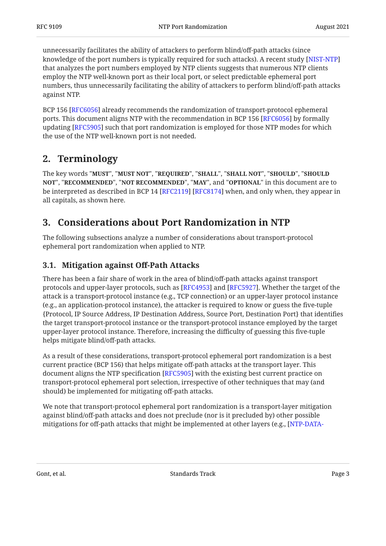unnecessarily facilitates the ability of attackers to perform blind/off-path attacks (since knowledge of the port numbers is typically required for such attacks). A recent study [[NIST-NTP\]](#page-6-2) that analyzes the port numbers employed by NTP clients suggests that numerous NTP clients employ the NTP well-known port as their local port, or select predictable ephemeral port numbers, thus unnecessarily facilitating the ability of attackers to perform blind/off-path attacks against NTP.

BCP 156 [RFC6056] already recommends the randomization of transport-protocol ephemeral ports. This document aligns NTP with the recommendation in BCP 156 [RFC6056] by formally updating [RFC5905] such that port randomization is employed for those NTP modes for which the use of the NTP well-known port is not needed.

### <span id="page-2-0"></span>**[2. Terminology](#page-2-0)**

The key words "MUST", "MUST NOT", "REQUIRED", "SHALL", "SHALL NOT", "SHOULD", "SHOULD <code>NOT",</code> "<code>RECOMMENDED", "NOT RECOMMENDED", "MAY", and "OPTIONAL" in this document are to</code> be interpreted as described in BCP 14 [RFC2119] [RFC8174] when, and only when, they appear in all capitals, as shown here.

# <span id="page-2-1"></span>**[3. Considerations about Port Randomization in NTP](#page-2-1)**

The following subsections analyze a number of considerations about transport-protocol ephemeral port randomization when applied to NTP.

#### <span id="page-2-2"></span>**[3.1. Mitigation against O](#page-2-2)ff-Path Attacks**

There has been a fair share of work in the area of blind/off-path attacks against transport protocols and upper-layer protocols, such as [[RFC4953\]](#page-7-1) and [\[RFC5927](#page-7-2)]. Whether the target of the attack is a transport-protocol instance (e.g., TCP connection) or an upper-layer protocol instance (e.g., an application-protocol instance), the attacker is required to know or guess the five-tuple {Protocol, IP Source Address, IP Destination Address, Source Port, Destination Port} that identifies the target transport-protocol instance or the transport-protocol instance employed by the target upper-layer protocol instance. Therefore, increasing the difficulty of guessing this five-tuple helps mitigate blind/off-path attacks.

As a result of these considerations, transport-protocol ephemeral port randomization is a best current practice (BCP 156) that helps mitigate off-path attacks at the transport layer. This document aligns the NTP specification [[RFC5905\]](#page-5-4) with the existing best current practice on transport-protocol ephemeral port selection, irrespective of other techniques that may (and should) be implemented for mitigating off-path attacks.

We note that transport-protocol ephemeral port randomization is a transport-layer mitigation against blind/off-path attacks and does not preclude (nor is it precluded by) other possible mitigations for off-path attacks that might be implemented at other layers (e.g., [\[NTP-DATA-](#page-6-5)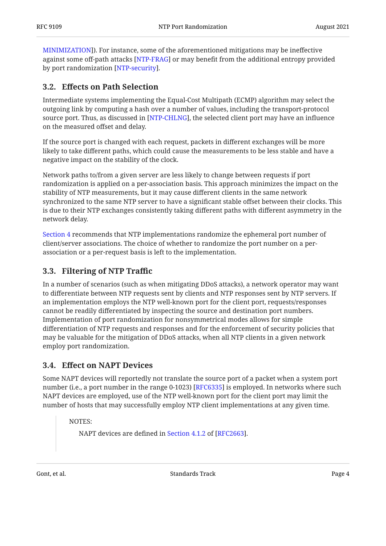[MINIMIZATION\]](#page-6-5)). For instance, some of the aforementioned mitigations may be ineffective against some off-path attacks [NTP-FRAG] or may benefit from the additional entropy provided by port randomization [NTP-security].

#### <span id="page-3-0"></span>**[3.2. E](#page-3-0)ff[ects on Path Selection](#page-3-0)**

Intermediate systems implementing the Equal-Cost Multipath (ECMP) algorithm may select the outgoing link by computing a hash over a number of values, including the transport-protocol source port. Thus, as discussed in [NTP-CHLNG], the selected client port may have an influence on the measured offset and delay.

If the source port is changed with each request, packets in different exchanges will be more likely to take different paths, which could cause the measurements to be less stable and have a negative impact on the stability of the clock.

Network paths to/from a given server are less likely to change between requests if port randomization is applied on a per-association basis. This approach minimizes the impact on the stability of NTP measurements, but it may cause different clients in the same network synchronized to the same NTP server to have a significant stable offset between their clocks. This is due to their NTP exchanges consistently taking different paths with different asymmetry in the network delay.

[Section 4](#page-4-0) recommends that NTP implementations randomize the ephemeral port number of client/server associations. The choice of whether to randomize the port number on a perassociation or a per-request basis is left to the implementation.

#### <span id="page-3-1"></span>**[3.3. Filtering of NTP Tra](#page-3-1)ffic**

In a number of scenarios (such as when mitigating DDoS attacks), a network operator may want to differentiate between NTP requests sent by clients and NTP responses sent by NTP servers. If an implementation employs the NTP well-known port for the client port, requests/responses cannot be readily differentiated by inspecting the source and destination port numbers. Implementation of port randomization for nonsymmetrical modes allows for simple differentiation of NTP requests and responses and for the enforcement of security policies that may be valuable for the mitigation of DDoS attacks, when all NTP clients in a given network employ port randomization.

#### <span id="page-3-2"></span>**[3.4. E](#page-3-2)ff[ect on NAPT Devices](#page-3-2)**

Some NAPT devices will reportedly not translate the source port of a packet when a system port number (i.e., a port number in the range 0-1023) [[RFC6335\]](#page-7-3) is employed. In networks where such NAPT devices are employed, use of the NTP well-known port for the client port may limit the number of hosts that may successfully employ NTP client implementations at any given time.

NOTES:

NAPTdevices are defined in Section 4.1.2 of [RFC2663].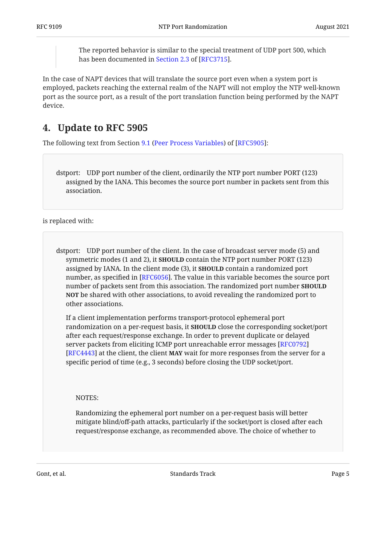The reported behavior is similar to the special treatment of UDP port 500, which has been documented in Section 2.3 of [RFC3715].

In the case of NAPT devices that will translate the source port even when a system port is employed, packets reaching the external realm of the NAPT will not employ the NTP well-known port as the source port, as a result of the port translation function being performed by the NAPT device.

# <span id="page-4-0"></span>**[4. Update to RFC 5905](#page-4-0)**

Thefollowing text from Section 9.1 (Peer Process Variables) of [RFC5905]:

dstport: UDP port number of the client, ordinarily the NTP port number PORT (123) assigned by the IANA. This becomes the source port number in packets sent from this association.

is replaced with:

dstport: UDP port number of the client. In the case of broadcast server mode (5) and symmetric modes (1 and 2), it **SHOULD** contain the NTP port number PORT (123) assigned by IANA. In the client mode (3), it **SHOULD** contain a randomized port number, as specified in [RFC6056]. The value in this variable becomes the source port number of packets sent from this association. The randomized port number **SHOULD** <code>NOT</code> be shared with other associations, to avoid revealing the randomized port to other associations.

If a client implementation performs transport-protocol ephemeral port  $r$ andomization on a per-request basis, it **SHOULD** close the corresponding socket/port after each request/response exchange. In order to prevent duplicate or delayed server packets from eliciting ICMP port unreachable error messages [\[RFC0792\]](#page-6-10) [\[RFC4443](#page-7-5)] at the client, the client **MAY** wait for more responses from the server for a specific period of time (e.g., 3 seconds) before closing the UDP socket/port.

NOTES:

Randomizing the ephemeral port number on a per-request basis will better mitigate blind/off-path attacks, particularly if the socket/port is closed after each request/response exchange, as recommended above. The choice of whether to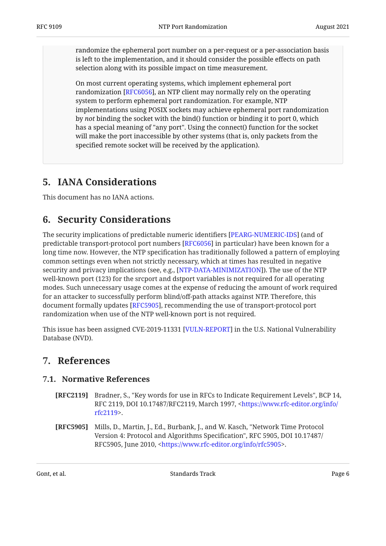randomize the ephemeral port number on a per-request or a per-association basis is left to the implementation, and it should consider the possible effects on path selection along with its possible impact on time measurement.

On most current operating systems, which implement ephemeral port randomization [[RFC6056\]](#page-6-3), an NTP client may normally rely on the operating system to perform ephemeral port randomization. For example, NTP implementations using POSIX sockets may achieve ephemeral port randomization by *not* binding the socket with the bind() function or binding it to port 0, which has a special meaning of "any port". Using the connect() function for the socket will make the port inaccessible by other systems (that is, only packets from the specified remote socket will be received by the application).

### <span id="page-5-0"></span>**[5. IANA Considerations](#page-5-0)**

<span id="page-5-1"></span>This document has no IANA actions.

### **[6. Security Considerations](#page-5-1)**

The security implications of predictable numeric identifiers [PEARG-NUMERIC-IDS] (and of predictable transport-protocol port numbers [[RFC6056\]](#page-6-3) in particular) have been known for a long time now. However, the NTP specification has traditionally followed a pattern of employing common settings even when not strictly necessary, which at times has resulted in negative security and privacy implications (see, e.g., [\[NTP-DATA-MINIMIZATION\]](#page-6-5)). The use of the NTP well-known port (123) for the srcport and dstport variables is not required for all operating modes. Such unnecessary usage comes at the expense of reducing the amount of work required for an attacker to successfully perform blind/off-path attacks against NTP. Therefore, this document formally updates [[RFC5905\]](#page-5-4), recommending the use of transport-protocol port randomization when use of the NTP well-known port is not required.

<span id="page-5-2"></span>This issue has been assigned CVE-2019-11331 [[VULN-REPORT\]](#page-7-6) in the U.S. National Vulnerability Database (NVD).

#### <span id="page-5-3"></span>**[7. References](#page-5-2)**

#### **[7.1. Normative References](#page-5-3)**

- <span id="page-5-5"></span>**[RFC2119]** Bradner, S., "Key words for use in RFCs to Indicate Requirement Levels", BCP 14, RFC 2119, DOI 10.17487/RFC2119, March 1997, <[https://www.rfc-editor.org/info/](https://www.rfc-editor.org/info/rfc2119) . [rfc2119>](https://www.rfc-editor.org/info/rfc2119)
- <span id="page-5-4"></span>**[RFC5905]** Mills, D., Martin, J., Ed., Burbank, J., and W. Kasch, "Network Time Protocol Version 4: Protocol and Algorithms Specification", RFC 5905, DOI 10.17487/ RFC5905, June 2010, [<https://www.rfc-editor.org/info/rfc5905](https://www.rfc-editor.org/info/rfc5905)>.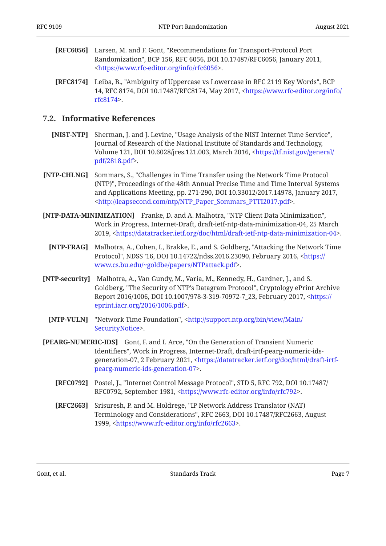- <span id="page-6-3"></span>**[RFC6056]** Larsen, M. and F. Gont, "Recommendations for Transport-Protocol Port Randomization", BCP 156, RFC 6056, DOI 10.17487/RFC6056, January 2011, . [<https://www.rfc-editor.org/info/rfc6056](https://www.rfc-editor.org/info/rfc6056)>
- <span id="page-6-4"></span>**[RFC8174]** Leiba, B., "Ambiguity of Uppercase vs Lowercase in RFC 2119 Key Words", BCP 14, RFC 8174, DOI 10.17487/RFC8174, May 2017, [<https://www.rfc-editor.org/info/](https://www.rfc-editor.org/info/rfc8174) . [rfc8174>](https://www.rfc-editor.org/info/rfc8174)

#### <span id="page-6-0"></span>**[7.2. Informative References](#page-6-0)**

- <span id="page-6-2"></span>**[NIST-NTP]** Sherman, J. and J. Levine, "Usage Analysis of the NIST Internet Time Service", Volume 121, DOI 10.6028/jres.121.003, March 2016, [<https://tf.nist.gov/general/](https://tf.nist.gov/general/pdf/2818.pdf) . [pdf/2818.pdf>](https://tf.nist.gov/general/pdf/2818.pdf) Journal of Research of the National Institute of Standards and Technology,
- <span id="page-6-8"></span>**[NTP-CHLNG]** Sommars, S., "Challenges in Time Transfer using the Network Time Protocol (NTP)", Proceedings of the 48th Annual Precise Time and Time Interval Systems and Applications Meeting, pp. 271-290, DOI 10.33012/2017.14978, January 2017, . [<http://leapsecond.com/ntp/NTP\\_Paper\\_Sommars\\_PTTI2017.pdf](http://leapsecond.com/ntp/NTP_Paper_Sommars_PTTI2017.pdf)>
- <span id="page-6-6"></span><span id="page-6-5"></span>**[NTP-DATA-MINIMIZATION]** Franke, D. and A. Malhotra, "NTP Client Data Minimization", Work in Progress, Internet-Draft, draft-ietf-ntp-data-minimization-04, 25 March 2019, . <https://datatracker.ietf.org/doc/html/draft-ietf-ntp-data-minimization-04>
	- **[NTP-FRAG]** Malhotra, A., Cohen, I., Brakke, E., and S. Goldberg, "Attacking the Network Time Protocol", NDSS '16, DOI 10.14722/ndss.2016.23090, February 2016, <[https://](https://www.cs.bu.edu/~goldbe/papers/NTPattack.pdf) . [www.cs.bu.edu/~goldbe/papers/NTPattack.pdf](https://www.cs.bu.edu/~goldbe/papers/NTPattack.pdf)>
- <span id="page-6-7"></span>**[NTP-security]** Malhotra, A., Van Gundy, M., Varia, M., Kennedy, H., Gardner, J., and S. Goldberg, "The Security of NTP's Datagram Protocol", Cryptology ePrint Archive Report 2016/1006, DOI 10.1007/978-3-319-70972-7\_23, February 2017, <[https://](https://eprint.iacr.org/2016/1006.pdf) . [eprint.iacr.org/2016/1006.pdf>](https://eprint.iacr.org/2016/1006.pdf)
	- **[NTP-VULN]** "Network Time Foundation", <[http://support.ntp.org/bin/view/Main/](http://support.ntp.org/bin/view/Main/SecurityNotice) . [SecurityNotice>](http://support.ntp.org/bin/view/Main/SecurityNotice)
- <span id="page-6-11"></span><span id="page-6-10"></span><span id="page-6-9"></span><span id="page-6-1"></span>**[PEARG-NUMERIC-IDS]** Gont, F. and I. Arce, "On the Generation of Transient Numeric Identifiers", Work in Progress, Internet-Draft, draft-irtf-pearg-numeric-idsgeneration-07, 2 February 2021, <[https://datatracker.ietf.org/doc/html/draft-irtf-](https://datatracker.ietf.org/doc/html/draft-irtf-pearg-numeric-ids-generation-07). [pearg-numeric-ids-generation-07>](https://datatracker.ietf.org/doc/html/draft-irtf-pearg-numeric-ids-generation-07)
	- **[RFC0792]** Postel, J., "Internet Control Message Protocol", STD 5, RFC 792, DOI 10.17487/ RFC0792, September 1981, <https://www.rfc-editor.org/info/rfc792>.
	- **[RFC2663]** Srisuresh, P. and M. Holdrege, "IP Network Address Translator (NAT) Terminology and Considerations", RFC 2663, DOI 10.17487/RFC2663, August 1999, <https://www.rfc-editor.org/info/rfc2663>.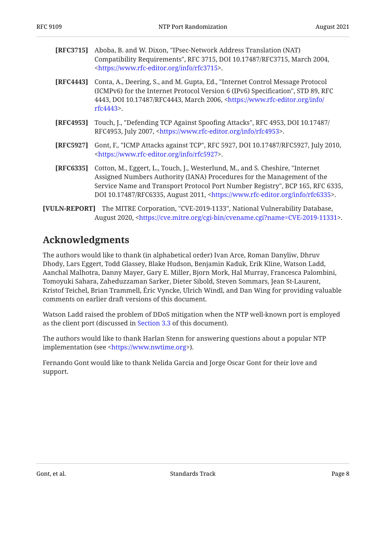<span id="page-7-4"></span>

| <b>[RFC3715]</b> Aboba, B. and W. Dixon, "IPsec-Network Address Translation (NAT) |
|-----------------------------------------------------------------------------------|
| Compatibility Requirements", RFC 3715, DOI 10.17487/RFC3715, March 2004,          |
| <https: info="" rfc3715="" www.rfc-editor.org="">.</https:>                       |

- <span id="page-7-5"></span>**[RFC4443]** Conta, A., Deering, S., and M. Gupta, Ed., "Internet Control Message Protocol (ICMPv6) for the Internet Protocol Version 6 (IPv6) Specification", STD 89, RFC 4443, DOI 10.17487/RFC4443, March 2006, <[https://www.rfc-editor.org/info/](https://www.rfc-editor.org/info/rfc4443) . [rfc4443>](https://www.rfc-editor.org/info/rfc4443)
- <span id="page-7-1"></span>**[RFC4953]** Touch, J., "Defending TCP Against Spoofing Attacks", RFC 4953, DOI 10.17487/ RFC4953, July 2007, <https://www.rfc-editor.org/info/rfc4953>.
- <span id="page-7-2"></span>**[RFC5927]** Gont, F., "ICMP Attacks against TCP", RFC 5927, DOI 10.17487/RFC5927, July 2010, . [<https://www.rfc-editor.org/info/rfc5927](https://www.rfc-editor.org/info/rfc5927)>
- <span id="page-7-3"></span>**[RFC6335]** Cotton, M., Eggert, L., Touch, J., Westerlund, M., and S. Cheshire, "Internet Service Name and Transport Protocol Port Number Registry", BCP 165, RFC 6335, DOI 10.17487/RFC6335, August 2011, <https://www.rfc-editor.org/info/rfc6335>. Assigned Numbers Authority (IANA) Procedures for the Management of the
- <span id="page-7-6"></span><span id="page-7-0"></span>**[VULN-REPORT]** The MITRE Corporation, "CVE-2019-1133", National Vulnerability Database, August 2020, <https://cve.mitre.org/cgi-bin/cvename.cgi?name=CVE-2019-11331>.

# **[Acknowledgments](#page-7-0)**

The authors would like to thank (in alphabetical order) Ivan Arce, Roman Danyliw, Dhruv Dhody, Lars Eggert, Todd Glassey, Blake Hudson, Benjamin Kaduk, Erik Kline, Watson Ladd, Aanchal Malhotra, Danny Mayer, Gary E. Miller, Bjorn Mork, Hal Murray, Francesca Palombini, Tomoyuki Sahara, Zaheduzzaman Sarker, Dieter Sibold, Steven Sommars, Jean St-Laurent, Kristof Teichel, Brian Trammell, Eric Vyncke, Ulrich Windl, and Dan Wing for providing valuable comments on earlier draft versions of this document.

Watson Ladd raised the problem of DDoS mitigation when the NTP well-known port is employed as the client port (discussed in [Section 3.3](#page-3-1) of this document).

The authors would like to thank Harlan Stenn for answering questions about a popular NTP implementation (see <https://www.nwtime.org>).

Fernando Gont would like to thank Nelida Garcia and Jorge Oscar Gont for their love and support.

Gont, et al. **Example 2** Standards Track Page 8